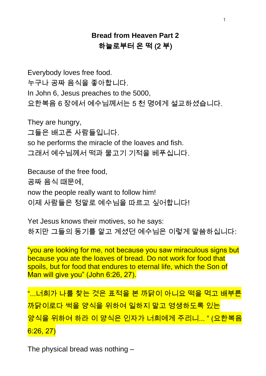## **Bread from Heaven Part 2** 하늘로부터 온 떡 (2 부)

Everybody loves free food. 누구나 공짜 음식을 좋아합니다. In John 6, Jesus preaches to the 5000, 요한복음 6 장에서 예수님께서는 5 천 명에게 설교하셨습니다.

They are hungry, 그들은 배고픈 사람들입니다. so he performs the miracle of the loaves and fish. 그래서 예수님께서 떡과 물고기 기적을 베푸십니다.

Because of the free food, 공짜 음식 때문에, now the people really want to follow him! 이제 사람들은 정말로 예수님을 따르고 싶어합니다!

Yet Jesus knows their motives, so he says: 하지만 그들의 동기를 알고 계셨던 예수님은 이렇게 말씀하십니다:

"you are looking for me, not because you saw miraculous signs but because you ate the loaves of bread. Do not work for food that spoils, but for food that endures to eternal life, which the Son of Man will give you" (John 6:26, 27).

"...너희가 나를 찾는 것은 표적을 본 까닭이 아니요 떡을 먹고 배부른 까닭이로다 썩을 양식을 위하여 일하지 말고 영생하도록 있는 양식을 위하여 하라 이 양식은 인자가 너희에게 주리니... " (요한복음 6:26, 27)

The physical bread was nothing –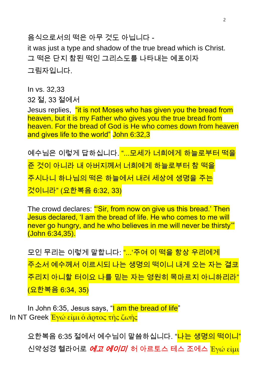음식으로서의 떡은 아무 것도 아닙니다 it was just a type and shadow of the true bread which is Christ. 그 떡은 단지 참된 떡인 그리스도를 나타내는 예표이자 그림자입니다.

In vs. 32,33 32 절, 33 절에서

Jesus replies, "it is not Moses who has given you the bread from heaven, but it is my Father who gives you the true bread from heaven. For the bread of God is He who comes down from heaven and gives life to the world" John 6:32,3

예수님은 이렇게 답하십니다. "...모세가 너희에게 하늘로부터 떡을 준 것이 아니라 내 아버지께서 너희에게 하늘로부터 참 떡을 주시나니 하나님의 떡은 하늘에서 내려 세상에 생명을 주는 것이니라" (요한복음 6:32, 33)

The crowd declares: "Sir, from now on give us this bread.' Then Jesus declared, 'I am the bread of life. He who comes to me will never go hungry, and he who believes in me will never be thirsty'" (John 6:34,35).

모인 무리는 이렇게 말합니다: "...'주여 이 떡을 항상 우리에게 주소서 예수께서 이르시되 나는 생명의 떡이니 내게 오는 자는 결코 주리지 아니할 터이요 나를 믿는 자는 영원히 목마르지 아니하리라" (요한복음 6:34, 35)

In John 6:35, Jesus says, "I am the bread of life" In NT Greek Έγώ εἰμι ὁ ἄρτος τῆς ζωῆς

> 요한복음 6:35 절에서 예수님이 말씀하십니다. "<mark>나는 생명의 떡이니"</mark> 신약성경 헬라어로 *에고 에이미* 허 아르토스 테스 조에스 Ἐγώ εἰμι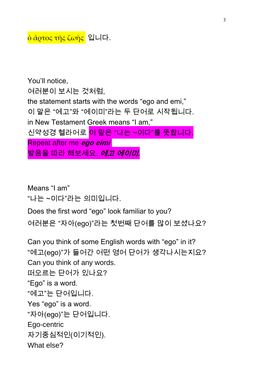You'll notice, 여러분이 보시는 것처럼, the statement starts with the words "ego and emi," 이 말은 "에고"와 "에이미"라는 두 단어로 시작됩니다. in New Testament Greek means "I am," 신약성경 헬라어로 <mark>이 말은 "나는 ~이다"를 뜻합니다.</mark> Repeat after me **ego eimi** 발음을 따라 해보세요. *에고 에이미.* 

Means "I am" "나는 ~이다"라는 의미입니다.

Does the first word "ego" look familiar to you?

여러분은 "자아(ego)"라는 첫번째 단어를 많이 보셨나요?

Can you think of some English words with "ego" in it? "에고(ego)"가 들어간 어떤 영어 단어가 생각나시는지요? Can you think of any words. 떠오르는 단어가 있나요? "Ego" is a word. "에고"는 단어입니다. Yes "ego" is a word. "자아(ego)"는 단어입니다. Ego-centric 자기중심적인(이기적인). What else?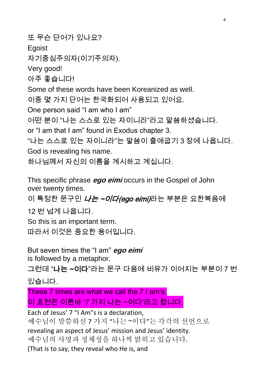또 무슨 단어가 있나요? Egoist 자기중심주의자(이기주의자). Very good! 아주 좋습니다! Some of these words have been Koreanized as well. 이중 몇 가지 단어는 한국화되어 사용되고 있어요. One person said "I am who I am" 어떤 분이 "나는 스스로 있는 자이니라"라고 말씀하셨습니다. or "I am that I am" found in Exodus chapter 3. "나는 스스로 있는 자이니라"는 말씀이 출애굽기 3 장에 나옵니다. God is revealing his name. 하나님께서 자신의 이름을 계시하고 계십니다.

This specific phrase **ego eimi** occurs in the Gospel of John over twenty times.

이 특정한 문구인 *나는 ~이다(ego eimi)*라는 부분은 요한복음에

12 번 넘게 나옵니다.

So this is an important term.

따라서 이것은 중요한 용어입니다.

But seven times the "I am" **ego eimi** is followed by a metaphor.

그런데 "나는 ~이다"라는 문구 다음에 비유가 이어지는 부분이 7 번 있습니다.

These 7 times are what we call the 7 I am's. 이 표현은 이른바 '7 가지 나는 ~이다'라고 합니다.

Each of Jesus' 7 "I Am"s is a declaration, 예수님이 말씀하신 7 가지 "나는 ~이다"는 각각의 선언으로 revealing an aspect of Jesus' mission and Jesus' identity. 예수님의 사명과 정체성을 하나씩 밝히고 있습니다. (That is to say, they reveal who He is, and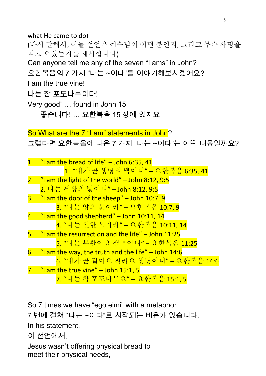what He came to do) (다시 말해서, 이들 선언은 예수님이 어떤 분인지, 그리고 무슨 사명을 띠고 오셨는지를 계시합니다) Can anyone tell me any of the seven "I ams" in John? 요한복음의 7 가지 "나는 ~이다"를 이야기해보시겠어요? I am the true vine! 나는 참 포도나무이다! Very good! … found in John 15 좋습니다! … 요한복음 15 장에 있지요. So What are the 7 "I am" statements in John? 그렇다면 요한복음에 나온 7 가지 "나는 ~이다"는 어떤 내용일까요? 1. "I am the bread of life" - John 6:35, 41 1. "내가 곧 생명의 떡이니" – 요한복음 6:35, 41 2.  $\frac{4}{1}$  am the light of the world" - John 8:12, 9:5 2. 나는 세상의 빛이니" – John 8:12, 9:5  $3.$  "I am the door of the sheep" – John 10:7, 9 3. "나는 양의 문이라" – 요한복음 10:7, 9 4. "I am the good shepherd" - John 10:11, 14 4. "나는 선한 목자라" – 요한복음 10:11, 14

- 5. "I am the resurrection and the life" John 11:25 5. "나는 부활이요 생명이니" – 요한복음 11:25 6.  $\degree$  am the way, the truth and the life" – John 14:6
- 6. "내가 곧 길이요 진리요 생명이니" 요한복음 14:6 7.  $\frac{m}{2}$  am the true vine" – John 15:1, 5

7. "나는 참 포도나무요" – 요한복음 15:1, 5

So 7 times we have "ego eimi" with a metaphor 7 번에 걸쳐 "나는 ~이다"로 시작되는 비유가 있습니다. In his statement, 이 선언에서, Jesus wasn't offering physical bread to meet their physical needs,

5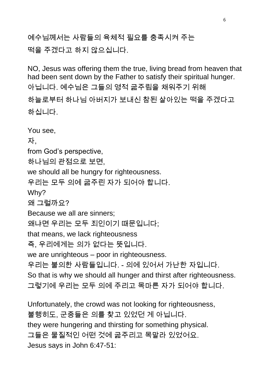예수님께서는 사람들의 육체적 필요를 충족시켜 주는 떡을 주겠다고 하지 않으십니다.

NO, Jesus was offering them the true, living bread from heaven that had been sent down by the Father to satisfy their spiritual hunger. 아닙니다. 예수님은 그들의 영적 굶주림을 채워주기 위해 하늘로부터 하나님 아버지가 보내신 참된 살아있는 떡을 주겠다고 하십니다.

You see, 자. from God's perspective, 하나님의 관점으로 보면, we should all be hungry for righteousness. 우리는 모두 의에 굶주린 자가 되어야 합니다. Why? 왜 그럴까요? Because we all are sinners; 왜냐면 우리는 모두 죄인이기 때문입니다; that means, we lack righteousness 즉, 우리에게는 의가 없다는 뜻입니다. we are unrighteous – poor in righteousness. 우리는 불의한 사람들입니다. - 의에 있어서 가난한 자입니다. So that is why we should all hunger and thirst after righteousness. 그렇기에 우리는 모두 의에 주리고 목마른 자가 되어야 합니다. Unfortunately, the crowd was not looking for righteousness, 불행히도, 군중들은 의를 찾고 있었던 게 아닙니다. they were hungering and thirsting for something physical. 그들은 물질적인 어떤 것에 굶주리고 목말라 있었어요. Jesus says in John 6:47-51: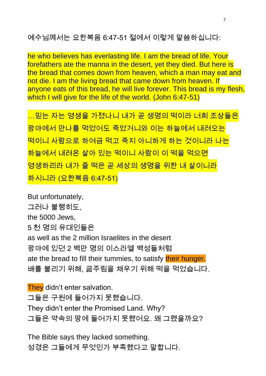예수님께서는 요한복음 6:47-51 절에서 이렇게 말씀하십니다:

he who believes has everlasting life. I am the bread of life. Your forefathers ate the manna in the desert, yet they died. But here is the bread that comes down from heaven, which a man may eat and not die. I am the living bread that came down from heaven. If anyone eats of this bread, he will live forever. This bread is my flesh, which I will give for the life of the world. (John 6:47-51)

…믿는 자는 영생을 가졌나니 내가 곧 생명의 떡이라 너희 조상들은 광야에서 만나를 먹었어도 죽었거니와 이는 하늘에서 내려오는 떡이니 사람으로 하여금 먹고 죽지 아니하게 하는 것이니라 나는 하늘에서 내려온 살아 있는 떡이니 사람이 이 떡을 먹으면 영생하리라 내가 줄 떡은 곧 세상의 생명을 위한 내 살이니라 <mark>하시니라 (요한복음 6:47-51)</mark>

But unfortunately, 그러나 불행히도, the 5000 Jews, 5 천 명의 유대인들은 as well as the 2 million Israelites in the desert 광야에 있던 2 백만 명의 이스라엘 백성들처럼 ate the bread to fill their tummies, to satisfy their hunger. 배를 불리기 위해, 굶주림을 채우기 위해 떡을 먹었습니다.

They didn't enter salvation. 그들은 구원에 들어가지 못했습니다. They didn't enter the Promised Land. Why? 그들은 약속의 땅에 들어가지 못했어요. 왜 그랬을까요?

The Bible says they lacked something. 성경은 그들에게 무엇인가 부족했다고 말합니다.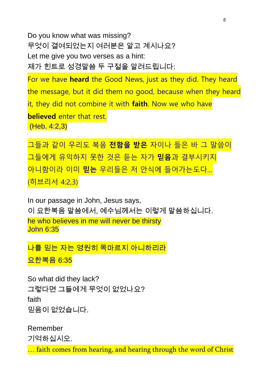Do you know what was missing? 무엇이 결여되었는지 여러분은 알고 계시나요? Let me give you two verses as a hint: 제가 힌트로 성경말씀 두 구절을 알려드립니다:

For we have **heard** the Good News, just as they did. They heard the message, but it did them no good, because when they heard it, they did not combine it with **faith**. Now we who have **believed** enter that rest. (Heb. 4:2,3)

그들과 같이 우리도 복음 **전함을 받은** 자이나 들은 바 그 말씀이 그들에게 유익하지 못한 것은 듣는 자가 **믿음**과 결부시키지 아니함이라 이미 **믿는** 우리들은 저 안식에 들어가는도다… (히브리서 4:2,3)

In our passage in John, Jesus says, 이 요한복음 말씀에서, 예수님께서는 이렇게 말씀하십니다. he who believes in me will never be thirsty John 6:35

나를 믿는 자는 영원히 목마르지 아니하리라 요한복음 6:35

So what did they lack? 그렇다면 그들에게 무엇이 없었나요? faith 믿음이 없었습니다.

Remember 기억하십시오. … faith comes from hearing, and hearing through the word of Christ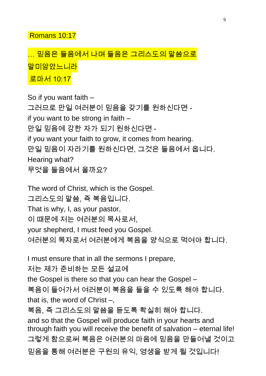Romans 10:17

## <mark>… 믿음은 들음에서 나며 들음은 그리스도의 말씀으로</mark> 말미암았느니라 로마서 10:17

So if you want faith – 그러므로 만일 여러분이 믿음을 갖기를 원하신다면 if you want to be strong in faith – 만일 믿음에 강한 자가 되기 원하신다면 if you want your faith to grow, it comes from hearing. 만일 믿음이 자라기를 원하신다면, 그것은 들음에서 옵니다. Hearing what? 무엇을 들음에서 올까요?

The word of Christ, which is the Gospel. 그리스도의 말씀, 즉 복음입니다. That is why, I, as your pastor, 이 때문에 저는 여러분의 목사로서, your shepherd, I must feed you Gospel. 여러분의 목자로서 여러분에게 복음을 양식으로 먹여야 합니다.

I must ensure that in all the sermons I prepare,

저는 제가 준비하는 모든 설교에

the Gospel is there so that you can hear the Gospel –

복음이 들어가서 여러분이 복음을 들을 수 있도록 해야 합니다. that is, the word of Christ –,

복음, 즉 그리스도의 말씀을 듣도록 확실히 해야 합니다.

and so that the Gospel will produce faith in your hearts and through faith you will receive the benefit of salvation – eternal life! 그렇게 함으로써 복음은 여러분의 마음에 믿음을 만들어낼 것이고 믿음을 통해 여러분은 구원의 유익, 영생을 받게 될 것입니다!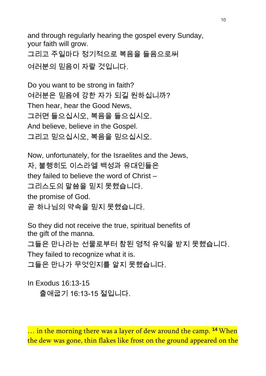and through regularly hearing the gospel every Sunday, your faith will grow.

그리고 주일마다 정기적으로 복음을 들음으로써 여러분의 믿음이 자랄 것입니다.

Do you want to be strong in faith? 여러분은 믿음에 강한 자가 되길 원하십니까? Then hear, hear the Good News, 그러면 들으십시오, 복음을 들으십시오. And believe, believe in the Gospel. 그리고 믿으십시오, 복음을 믿으십시오.

Now, unfortunately, for the Israelites and the Jews, 자, 불행히도 이스라엘 백성과 유대인들은 they failed to believe the word of Christ – 그리스도의 말씀을 믿지 못했습니다. the promise of God. 곧 하나님의 약속을 믿지 못했습니다.

So they did not receive the true, spiritual benefits of the gift of the manna.

그들은 만나라는 선물로부터 참된 영적 유익을 받지 못했습니다.

They failed to recognize what it is.

그들은 만나가 무엇인지를 알지 못했습니다.

In Exodus 16:13-15

출애굽기 16:13-15 절입니다.

… in the morning there was a layer of dew around the camp. **<sup>14</sup>** When the dew was gone, thin flakes like frost on the ground appeared on the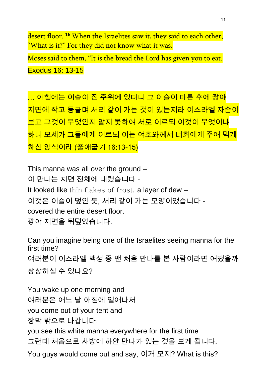desert floor. **<sup>15</sup>** When the Israelites saw it, they said to each other, "What is it?" For they did not know what it was.

Moses said to them, "It is the bread the Lord has given you to eat. Exodus 16: 13-15

… 아침에는 이슬이 진 주위에 있더니 그 이슬이 마른 후에 광야 지면에 작고 둥글며 서리 같이 가는 것이 있는지라 이스라엘 자손이 보고 그것이 무엇인지 알지 못하여 서로 이르되 이것이 무엇이냐 하니 모세가 그들에게 이르되 이는 여호와께서 너희에게 주어 먹게 하신 양식이라 (출애굽기 16:13-15)

This manna was all over the ground – 이 만나는 지면 전체에 내렸습니다 - It looked like thin flakes of frost, a layer of dew – 이것은 이슬이 덮인 듯, 서리 같이 가는 모양이었습니다 covered the entire desert floor. 광야 지면을 뒤덮었습니다.

Can you imagine being one of the Israelites seeing manna for the first time? 여러분이 이스라엘 백성 중 맨 처음 만나를 본 사람이라면 어땠을까 상상하실 수 있나요?

You wake up one morning and 여러분은 어느 날 아침에 일어나서 you come out of your tent and 장막 밖으로 나갑니다.

you see this white manna everywhere for the first time 그런데 처음으로 사방에 하얀 만나가 있는 것을 보게 됩니다.

You guys would come out and say, 이거 모지? What is this?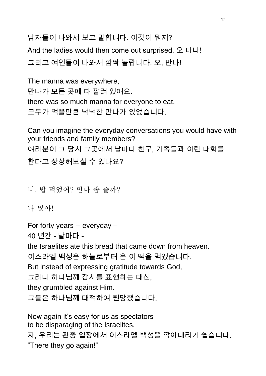남자들이 나와서 보고 말합니다. 이것이 뭐지?

And the ladies would then come out surprised, 오 마나! 그리고 여인들이 나와서 깜짝 놀랍니다. 오, 만나!

The manna was everywhere, 만나가 모든 곳에 다 깔려 있어요. there was so much manna for everyone to eat. 모두가 먹을만큼 넉넉한 만나가 있었습니다.

Can you imagine the everyday conversations you would have with your friends and family members? 여러분이 그 당시 그곳에서 날마다 친구, 가족들과 이런 대화를 한다고 상상해보실 수 있나요?

너, 밥 먹었어? 만나 좀 줄까?

나 많아!

For forty years -- everyday –

40 년간 - 날마다 -

the Israelites ate this bread that came down from heaven.

이스라엘 백성은 하늘로부터 온 이 떡을 먹었습니다.

But instead of expressing gratitude towards God,

그러나 하나님께 감사를 표현하는 대신,

they grumbled against Him.

그들은 하나님께 대적하여 원망했습니다.

Now again it's easy for us as spectators to be disparaging of the Israelites, 자, 우리는 관중 입장에서 이스라엘 백성을 깎아내리기 쉽습니다. "There they go again!"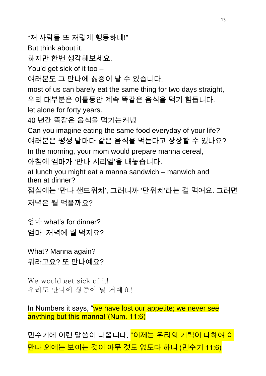"저 사람들 또 저렇게 행동하네!"

But think about it.

하지만 한번 생각해보세요.

You'd get sick of it too –

여러분도 그 만나에 싫증이 날 수 있습니다.

most of us can barely eat the same thing for two days straight, 우리 대부분은 이틀동안 계속 똑같은 음식을 먹기 힘듭니다. let alone for forty years.

40 년간 똑같은 음식을 먹기는커녕

Can you imagine eating the same food everyday of your life? 여러분은 평생 날마다 같은 음식을 먹는다고 상상할 수 있나요? In the morning, your mom would prepare manna cereal, 아침에 엄마가 '만나 시리얼'을 내놓습니다.

at lunch you might eat a manna sandwich – manwich and then at dinner?

점심에는 '만나 샌드위치', 그러니까 '만위치'라는 걸 먹어요. 그러면

저녁은 뭘 먹을까요?

엄마 what's for dinner? 엄마, 저녁에 뭘 먹지요?

What? Manna again? 뭐라고요? 또 만나예요?

We would get sick of it! 우리도 만나에 싫증이 날 거예요!

In Numbers it says, "we have lost our appetite; we never see anything but this manna!"(Num. 11:6)

민수기에 이런 말씀이 나옵니다. <mark>"이제는 우리의 기력이 다하여 이</mark> 만나 외에는 보이는 것이 아무 것도 없도다 하니 (민수기 11:6)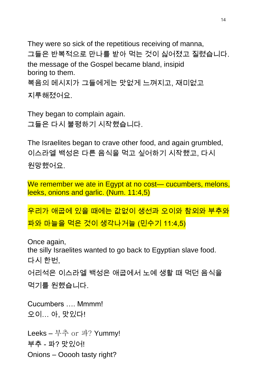They were so sick of the repetitious receiving of manna, 그들은 반복적으로 만나를 받아 먹는 것이 싫어졌고 질렸습니다. the message of the Gospel became bland, insipid boring to them. 복음의 메시지가 그들에게는 맛없게 느껴지고, 재미없고 지루해졌어요.

They began to complain again. 그들은 다시 불평하기 시작했습니다.

The Israelites began to crave other food, and again grumbled, 이스라엘 백성은 다른 음식을 먹고 싶어하기 시작했고, 다시 원망했어요.

We remember we ate in Egypt at no cost— cucumbers, melons, leeks, onions and garlic. (Num. 11:4,5)

우리가 애굽에 있을 때에는 값없이 생선과 오이와 참외와 부추와 파와 마늘을 먹은 것이 생각나거늘 (민수기 11:4,5)

Once again, the silly Israelites wanted to go back to Egyptian slave food. 다시 한번, 어리석은 이스라엘 백성은 애굽에서 노예 생활 때 먹던 음식을 먹기를 원했습니다. Cucumbers …. Mmmm!

오이… 아, 맛있다!

Leeks – 부추 or 파? Yummy! 부추 - 파? 맛있어! Onions – Ooooh tasty right?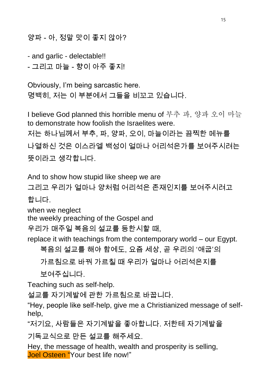양파 - 아, 정말 맛이 좋지 않아?

- and garlic - delectable!! - 그리고 마늘 - 향이 아주 좋지!

Obviously, I'm being sarcastic here. 명백히, 저는 이 부분에서 그들을 비꼬고 있습니다.

I believe God planned this horrible menu of 부추 파, 양파 오이 마늘 to demonstrate how foolish the Israelites were. 저는 하나님께서 부추, 파, 양파, 오이, 마늘이라는 끔찍한 메뉴를 나열하신 것은 이스라엘 백성이 얼마나 어리석은가를 보여주시려는

뜻이라고 생각합니다.

And to show how stupid like sheep we are

그리고 우리가 얼마나 양처럼 어리석은 존재인지를 보여주시려고

합니다.

when we neglect

the weekly preaching of the Gospel and

우리가 매주일 복음의 설교를 등한시할 때,

replace it with teachings from the contemporary world – our Egypt.

복음의 설교를 해야 함에도, 요즘 세상, 곧 우리의 '애굽'의

가르침으로 바꿔 가르칠 때 우리가 얼마나 어리석은지를

보여주십니다.

Teaching such as self-help.

설교를 자기계발에 관한 가르침으로 바꿉니다.

"Hey, people like self-help, give me a Christianized message of selfhelp,

"저기요, 사람들은 자기계발을 좋아합니다. 저한테 자기계발을

기독교식으로 만든 설교를 해주세요.

Hey, the message of health, wealth and prosperity is selling, Joel Osteen "Your best life now!"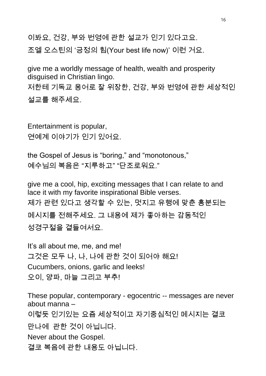이봐요, 건강, 부와 번영에 관한 설교가 인기 있다고요. 조엘 오스틴의 '긍정의 힘(Your best life now)' 이런 거요.

give me a worldly message of health, wealth and prosperity disguised in Christian lingo. 저한테 기독교 용어로 잘 위장한, 건강, 부와 번영에 관한 세상적인 설교를 해주세요.

Entertainment is popular, 연예계 이야기가 인기 있어요.

the Gospel of Jesus is "boring," and "monotonous," 예수님의 복음은 "지루하고" "단조로워요."

give me a cool, hip, exciting messages that I can relate to and lace it with my favorite inspirational Bible verses. 제가 관련 있다고 생각할 수 있는, 멋지고 유행에 맞춘 흥분되는 메시지를 전해주세요. 그 내용에 제가 좋아하는 감동적인 성경구절을 곁들여서요.

It's all about me, me, and me! 그것은 모두 나, 나, 나에 관한 것이 되어야 해요! Cucumbers, onions, garlic and leeks! 오이, 양파, 마늘 그리고 부추!

These popular, contemporary - egocentric -- messages are never about manna – 이렇듯 인기있는 요즘 세상적이고 자기중심적인 메시지는 결코 만나에 관한 것이 아닙니다. Never about the Gospel. 결코 복음에 관한 내용도 아닙니다.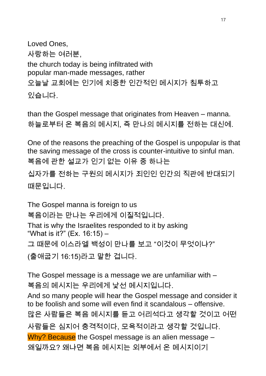Loved Ones, 사랑하는 여러분, the church today is being infiltrated with popular man-made messages, rather 오늘날 교회에는 인기에 치중한 인간적인 메시지가 침투하고 있습니다.

than the Gospel message that originates from Heaven – manna. 하늘로부터 온 복음의 메시지, 즉 만나의 메시지를 전하는 대신에.

One of the reasons the preaching of the Gospel is unpopular is that the saving message of the cross is counter-intuitive to sinful man. 복음에 관한 설교가 인기 없는 이유 중 하나는 십자가를 전하는 구원의 메시지가 죄인인 인간의 직관에 반대되기 때문입니다.

The Gospel manna is foreign to us 복음이라는 만나는 우리에게 이질적입니다. That is why the Israelites responded to it by asking "What is it?" (Ex. 16:15) – 그 때문에 이스라엘 백성이 만나를 보고 "이것이 무엇이냐?" (출애굽기 16:15)라고 말한 겁니다.

The Gospel message is a message we are unfamiliar with – 복음의 메시지는 우리에게 낯선 메시지입니다. And so many people will hear the Gospel message and consider it to be foolish and some will even find it scandalous – offensive. 많은 사람들은 복음 메시지를 듣고 어리석다고 생각할 것이고 어떤 사람들은 심지어 충격적이다, 모욕적이라고 생각할 것입니다. Why? Because the Gospel message is an alien message -왜일까요? 왜냐면 복음 메시지는 외부에서 온 메시지이기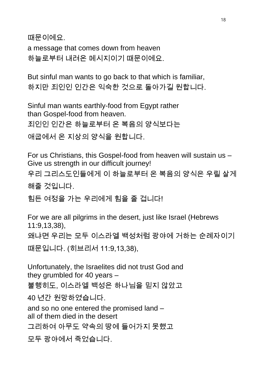때문이에요.

a message that comes down from heaven 하늘로부터 내려온 메시지이기 때문이에요.

But sinful man wants to go back to that which is familiar, 하지만 죄인인 인간은 익숙한 것으로 돌아가길 원합니다.

Sinful man wants earthly-food from Egypt rather than Gospel-food from heaven. 죄인인 인간은 하늘로부터 온 복음의 양식보다는

애굽에서 온 지상의 양식을 원합니다.

For us Christians, this Gospel-food from heaven will sustain us – Give us strength in our difficult journey!

우리 그리스도인들에게 이 하늘로부터 온 복음의 양식은 우릴 살게

해줄 것입니다.

힘든 여정을 가는 우리에게 힘을 줄 겁니다!

For we are all pilgrims in the desert, just like Israel (Hebrews 11:9,13,38), 왜냐면 우리는 모두 이스라엘 백성처럼 광야에 거하는 순례자이기 때문입니다. (히브리서 11:9,13,38),

Unfortunately, the Israelites did not trust God and they grumbled for 40 years – 불행히도, 이스라엘 백성은 하나님을 믿지 않았고 40 년간 원망하였습니다. and so no one entered the promised land – all of them died in the desert

그리하여 아무도 약속의 땅에 들어가지 못했고

모두 광야에서 죽었습니다.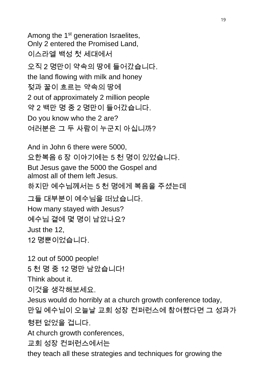Among the 1<sup>st</sup> generation Israelites, Only 2 entered the Promised Land, 이스라엘 백성 첫 세대에서 오직 2 명만이 약속의 땅에 들어갔습니다. the land flowing with milk and honey 젖과 꿀이 흐르는 약속의 땅에 2 out of approximately 2 million people 약 2 백만 명 중 2 명만이 들어갔습니다. Do you know who the 2 are? 여러분은 그 두 사람이 누군지 아십니까?

And in John 6 there were 5000, 요한복음 6 장 이야기에는 5 천 명이 있었습니다. But Jesus gave the 5000 the Gospel and almost all of them left Jesus. 하지만 예수님께서는 5 천 명에게 복음을 주셨는데 그들 대부분이 예수님을 떠났습니다. How many stayed with Jesus?

예수님 곁에 몇 명이 남았나요? Just the 12,

12 명뿐이었습니다.

12 out of 5000 people! 5 천 명 중 12 명만 남았습니다! Think about it.

이것을 생각해보세요.

Jesus would do horribly at a church growth conference today, 만일 예수님이 오늘날 교회 성장 컨퍼런스에 참여했다면 그 성과가

형편 없었을 겁니다.

At church growth conferences,

교회 성장 컨퍼런스에서는

they teach all these strategies and techniques for growing the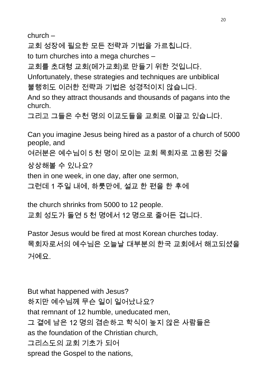church –

교회 성장에 필요한 모든 전략과 기법을 가르칩니다.

to turn churches into a mega churches –

교회를 초대형 교회(메가교회)로 만들기 위한 것입니다.

Unfortunately, these strategies and techniques are unbiblical 불행히도 이러한 전략과 기법은 성경적이지 않습니다.

And so they attract thousands and thousands of pagans into the church.

그리고 그들은 수천 명의 이교도들을 교회로 이끌고 있습니다.

Can you imagine Jesus being hired as a pastor of a church of 5000 people, and

여러분은 예수님이 5 천 명이 모이는 교회 목회자로 고용된 것을

상상해볼 수 있나요?

then in one week, in one day, after one sermon,

그런데 1 주일 내에, 하룻만에, 설교 한 편을 한 후에

the church shrinks from 5000 to 12 people. 교회 성도가 돌연 5 천 명에서 12 명으로 줄어든 겁니다.

Pastor Jesus would be fired at most Korean churches today. 목회자로서의 예수님은 오늘날 대부분의 한국 교회에서 해고되셨을 거예요.

But what happened with Jesus? 하지만 예수님께 무슨 일이 일어났나요? that remnant of 12 humble, uneducated men, 그 곁에 남은 12 명의 겸손하고 학식이 높지 않은 사람들은 as the foundation of the Christian church, 그리스도의 교회 기초가 되어 spread the Gospel to the nations,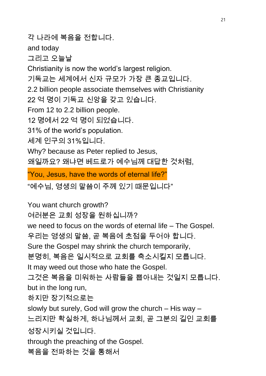각 나라에 복음을 전합니다. and today 그리고 오늘날 Christianity is now the world's largest religion. 기독교는 세계에서 신자 규모가 가장 큰 종교입니다. 2.2 billion people associate themselves with Christianity 22 억 명이 기독교 신앙을 갖고 있습니다. From 12 to 2.2 billion people. 12 명에서 22 억 명이 되었습니다. 31% of the world's population. 세계 인구의 31%입니다. Why? because as Peter replied to Jesus, 왜일까요? 왜냐면 베드로가 예수님께 대답한 것처럼,

"You, Jesus, have the words of eternal life?"

"예수님, 영생의 말씀이 주께 있기 때문입니다"

You want church growth? 여러분은 교회 성장을 원하십니까? we need to focus on the words of eternal life – The Gospel. 우리는 영생의 말씀, 곧 복음에 초점을 두어야 합니다. Sure the Gospel may shrink the church temporarily, 분명히, 복음은 일시적으로 교회를 축소시킬지 모릅니다. It may weed out those who hate the Gospel. 그것은 복음을 미워하는 사람들을 뽑아내는 것일지 모릅니다. but in the long run, 하지만 장기적으로는 slowly but surely, God will grow the church – His way – 느리지만 확실하게, 하나님께서 교회, 곧 그분의 길인 교회를 성장시키실 것입니다. through the preaching of the Gospel.

복음을 전파하는 것을 통해서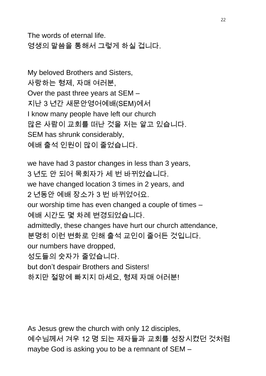The words of eternal life. 영생의 말씀을 통해서 그렇게 하실 겁니다.

My beloved Brothers and Sisters, 사랑하는 형제, 자매 여러분, Over the past three years at SEM – 지난 3 년간 새문안영어예배(SEM)에서 I know many people have left our church 많은 사람이 교회를 떠난 것을 저는 알고 있습니다. SEM has shrunk considerably, 예배 출석 인원이 많이 줄었습니다.

we have had 3 pastor changes in less than 3 years, 3 년도 안 되어 목회자가 세 번 바뀌었습니다. we have changed location 3 times in 2 years, and 2 년동안 예배 장소가 3 번 바뀌었어요. our worship time has even changed a couple of times – 예배 시간도 몇 차례 변경되었습니다. admittedly, these changes have hurt our church attendance, 분명히 이런 변화로 인해 출석 교인이 줄어든 것입니다. our numbers have dropped, 성도들의 숫자가 줄었습니다. but don't despair Brothers and Sisters! 하지만 절망에 빠지지 마세요, 형제 자매 여러분!

As Jesus grew the church with only 12 disciples, 예수님께서 겨우 12 명 되는 제자들과 교회를 성장시켰던 것처럼 maybe God is asking you to be a remnant of SEM –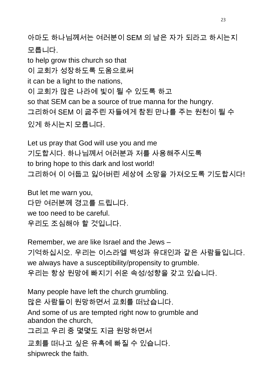아마도 하나님께서는 여러분이 SEM 의 남은 자가 되라고 하시는지 모릅니다.

to help grow this church so that 이 교회가 성장하도록 도움으로써 it can be a light to the nations, 이 교회가 많은 나라에 빛이 될 수 있도록 하고 so that SEM can be a source of true manna for the hungry. 그리하여 SEM 이 굶주린 자들에게 참된 만나를 주는 원천이 될 수 있게 하시는지 모릅니다.

Let us pray that God will use you and me 기도합시다. 하나님께서 여러분과 저를 사용해주시도록 to bring hope to this dark and lost world! 그리하여 이 어둡고 잃어버린 세상에 소망을 가져오도록 기도합시다!

But let me warn you, 다만 여러분께 경고를 드립니다. we too need to be careful. 우리도 조심해야 할 것입니다.

Remember, we are like Israel and the Jews – 기억하십시오. 우리는 이스라엘 백성과 유대인과 같은 사람들입니다. we always have a susceptibility/propensity to grumble. 우리는 항상 원망에 빠지기 쉬운 속성/성향을 갖고 있습니다.

Many people have left the church grumbling. 많은 사람들이 원망하면서 교회를 떠났습니다. And some of us are tempted right now to grumble and abandon the church, 그리고 우리 중 몇몇도 지금 원망하면서 교회를 떠나고 싶은 유혹에 빠질 수 있습니다.

shipwreck the faith.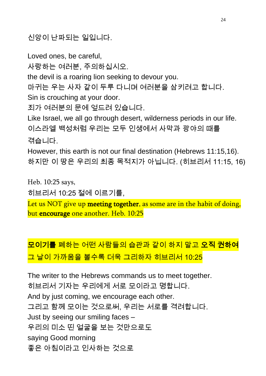신앙이 난파되는 일입니다.

Loved ones, be careful, 사랑하는 여러분, 주의하십시오. the devil is a roaring lion seeking to devour you. 마귀는 우는 사자 같이 두루 다니며 여러분을 삼키려고 합니다. Sin is crouching at your door. 죄가 여러분의 문에 엎드려 있습니다. Like Israel, we all go through desert, wilderness periods in our life. 이스라엘 백성처럼 우리는 모두 인생에서 사막과 광야의 때를 겪습니다. However, this earth is not our final destination (Hebrews 11:15,16). 하지만 이 땅은 우리의 최종 목적지가 아닙니다. (히브리서 11:15, 16)

Heb. 10:25 says,

히브리서 10:25 절에 이르기를,

Let us NOT give up meeting together, as some are in the habit of doing, but encourage one another. Heb. 10:25

## 모이기를 폐하는 어떤 사람들의 습관과 같이 하지 말고 오직 권하여 그 날이 가까움을 볼수록 더욱 그리하자 히브리서 10:25

The writer to the Hebrews commands us to meet together. 히브리서 기자는 우리에게 서로 모이라고 명합니다. And by just coming, we encourage each other. 그리고 함께 모이는 것으로써, 우리는 서로를 격려합니다. Just by seeing our smiling faces – 우리의 미소 띤 얼굴을 보는 것만으로도 saying Good morning 좋은 아침이라고 인사하는 것으로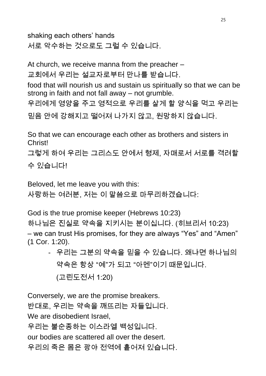shaking each others' hands

서로 악수하는 것으로도 그럴 수 있습니다.

At church, we receive manna from the preacher –

교회에서 우리는 설교자로부터 만나를 받습니다.

food that will nourish us and sustain us spiritually so that we can be strong in faith and not fall away – not grumble.

우리에게 영양을 주고 영적으로 우리를 살게 할 양식을 먹고 우리는

믿음 안에 강해지고 떨어져 나가지 않고, 원망하지 않습니다.

So that we can encourage each other as brothers and sisters in Christ!

그렇게 하여 우리는 그리스도 안에서 형제, 자매로서 서로를 격려할 수 있습니다!

Beloved, let me leave you with this:

사랑하는 여러분, 저는 이 말씀으로 마무리하겠습니다:

God is the true promise keeper (Hebrews 10:23) 하나님은 진실로 약속을 지키시는 분이십니다. (히브리서 10:23) – we can trust His promises, for they are always "Yes" and "Amen" (1 Cor. 1:20).

- 우리는 그분의 약속을 믿을 수 있습니다. 왜냐면 하나님의 약속은 항상 "예"가 되고 "아멘"이기 때문입니다. (고린도전서 1:20)

Conversely, we are the promise breakers. 반대로, 우리는 약속을 깨뜨리는 자들입니다. We are disobedient Israel, 우리는 불순종하는 이스라엘 백성입니다. our bodies are scattered all over the desert. 우리의 죽은 몸은 광야 전역에 흩어져 있습니다.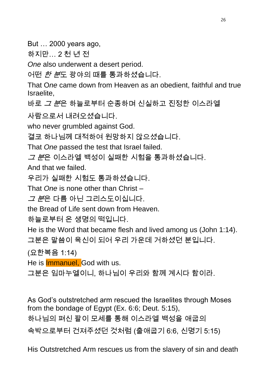But … 2000 years ago,

하지만… 2 천 년 전

*One* also underwent a desert period.

어떤 한 분도 광야의 때를 통과하셨습니다.

That O*ne* came down from Heaven as an obedient, faithful and true Israelite,

바로 *그 분*은 하늘로부터 순종하며 신실하고 진정한 이스라엘

사람으로서 내려오셨습니다.

who never grumbled against God.

결코 하나님께 대적하여 원망하지 않으셨습니다.

That *One* passed the test that Israel failed.

*그 분*은 이스라엘 백성이 실패한 시험을 통과하셨습니다.

And that we failed.

우리가 실패한 시험도 통과하셨습니다.

That *One* is none other than Christ –

*그 분*은 다름 아닌 그리스도이십니다.

the Bread of Life sent down from Heaven.

하늘로부터 온 생명의 떡입니다.

He is the Word that became flesh and lived among us (John 1:14). 그분은 말씀이 육신이 되어 우리 가운데 거하셨던 분입니다.

(요한복음 1:14)

He is **Immanuel**, God with us.

그분은 임마누엘이니, 하나님이 우리와 함께 계시다 함이라.

As God's outstretched arm rescued the Israelites through Moses from the bondage of Egypt (Ex. 6:6; Deut. 5:15), 하나님의 펴신 팔이 모세를 통해 이스라엘 백성을 애굽의 속박으로부터 건져주셨던 것처럼 (출애굽기 6:6, 신명기 5:15)

His Outstretched Arm rescues us from the slavery of sin and death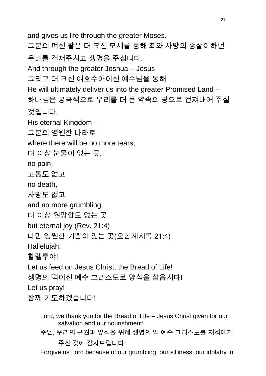and gives us life through the greater Moses. 그분의 펴신 팔은 더 크신 모세를 통해 죄와 사망의 종살이하던 우리를 건져주시고 생명을 주십니다. And through the greater Joshua – Jesus 그리고 더 크신 여호수아이신 예수님을 통해 He will ultimately deliver us into the greater Promised Land – 하나님은 궁극적으로 우리를 더 큰 약속의 땅으로 건져내어 주실 것입니다. His eternal Kingdom – 그분의 영원한 나라로. where there will be no more tears, 더 이상 눈물이 없는 곳, no pain, 고통도 없고 no death, 사망도 없고 and no more grumbling, 더 이상 원망함도 없는 곳 but eternal joy (Rev. 21:4) 다만 영원한 기쁨이 있는 곳(요한계시록 21:4) Hallelujah! 할렐루야! Let us feed on Jesus Christ, the Bread of Life! 생명의 떡이신 예수 그리스도로 양식을 삼읍시다! Let us pray! 함께 기도하겠습니다!

Lord, we thank you for the Bread of Life – Jesus Christ given for our salvation and our nourishment!

주님, 우리의 구원과 양식을 위해 생명의 떡 예수 그리스도를 저희에게 주신 것에 감사드립니다!

Forgive us Lord because of our grumbling, our silliness, our idolatry in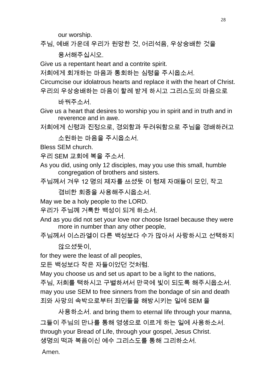our worship.

주님, 예배 가운데 우리가 원망한 것, 어리석음, 우상숭배한 것을

용서해주십시오.

Give us a repentant heart and a contrite spirit.

저희에게 회개하는 마음과 통회하는 심령을 주시옵소서.

Circumcise our idolatrous hearts and replace it with the heart of Christ.

우리의 우상숭배하는 마음이 할례 받게 하시고 그리스도의 마음으로

바꿔주소서.

Give us a heart that desires to worship you in spirit and in truth and in reverence and in awe.

저희에게 신령과 진정으로, 경외함과 두려워함으로 주님을 경배하려고

소원하는 마음을 주시옵소서.

Bless SEM church.

우리 SEM 교회에 복을 주소서.

As you did, using only 12 disciples, may you use this small, humble congregation of brothers and sisters.

주님께서 겨우 12 명의 제자를 쓰셨듯 이 형제 자매들이 모인, 작고

겸비한 회중을 사용해주시옵소서.

May we be a holy people to the LORD.

우리가 주님께 거룩한 백성이 되게 하소서.

- And as you did not set your love nor choose Israel because they were more in number than any other people,
- 주님께서 이스라엘이 다른 백성보다 수가 많아서 사랑하시고 선택하지

않으셨듯이,

for they were the least of all peoples,

모든 백성보다 작은 자들이었던 것처럼.

May you choose us and set us apart to be a light to the nations, 주님, 저희를 택하시고 구별하셔서 만국에 빛이 되도록 해주시옵소서. may you use SEM to free sinners from the bondage of sin and death 죄와 사망의 속박으로부터 죄인들을 해방시키는 일에 SEM 을

사용하소서. and bring them to eternal life through your manna, 그들이 주님의 만나를 통해 영생으로 이르게 하는 일에 사용하소서. through your Bread of Life, through your gospel, Jesus Christ. 생명의 떡과 복음이신 예수 그리스도를 통해 그리하소서.

Amen.